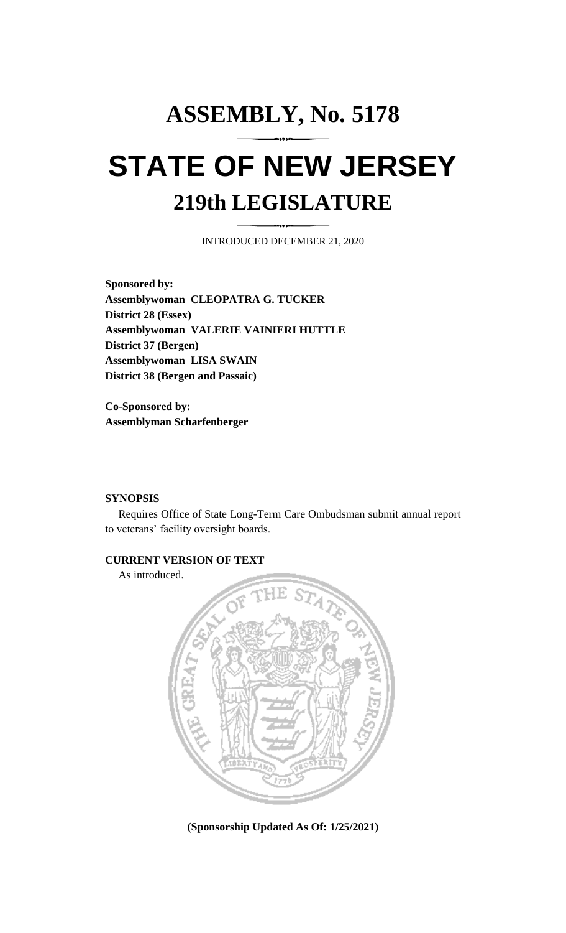# **ASSEMBLY, No. 5178 STATE OF NEW JERSEY 219th LEGISLATURE**

INTRODUCED DECEMBER 21, 2020

**Sponsored by: Assemblywoman CLEOPATRA G. TUCKER District 28 (Essex) Assemblywoman VALERIE VAINIERI HUTTLE District 37 (Bergen) Assemblywoman LISA SWAIN District 38 (Bergen and Passaic)**

**Co-Sponsored by: Assemblyman Scharfenberger**

### **SYNOPSIS**

Requires Office of State Long-Term Care Ombudsman submit annual report to veterans' facility oversight boards.

## **CURRENT VERSION OF TEXT**

As introduced.



**(Sponsorship Updated As Of: 1/25/2021)**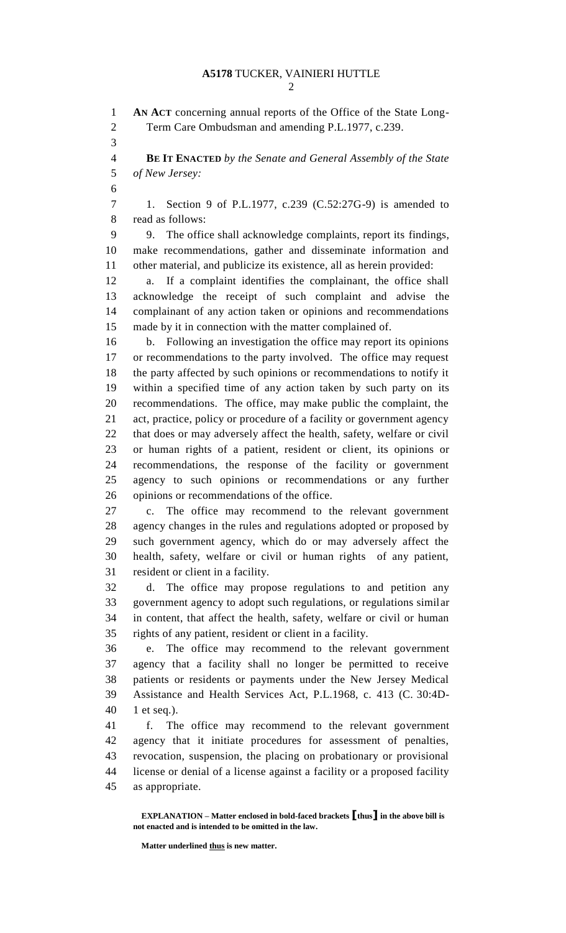**AN ACT** concerning annual reports of the Office of the State Long- Term Care Ombudsman and amending P.L.1977, c.239. **BE IT ENACTED** *by the Senate and General Assembly of the State of New Jersey:* 1. Section 9 of P.L.1977, c.239 (C.52:27G-9) is amended to read as follows: 9. The office shall acknowledge complaints, report its findings, make recommendations, gather and disseminate information and other material, and publicize its existence, all as herein provided: a. If a complaint identifies the complainant, the office shall acknowledge the receipt of such complaint and advise the complainant of any action taken or opinions and recommendations made by it in connection with the matter complained of. b. Following an investigation the office may report its opinions or recommendations to the party involved. The office may request the party affected by such opinions or recommendations to notify it within a specified time of any action taken by such party on its recommendations. The office, may make public the complaint, the act, practice, policy or procedure of a facility or government agency that does or may adversely affect the health, safety, welfare or civil or human rights of a patient, resident or client, its opinions or recommendations, the response of the facility or government agency to such opinions or recommendations or any further opinions or recommendations of the office. c. The office may recommend to the relevant government agency changes in the rules and regulations adopted or proposed by such government agency, which do or may adversely affect the health, safety, welfare or civil or human rights of any patient, resident or client in a facility. d. The office may propose regulations to and petition any government agency to adopt such regulations, or regulations similar in content, that affect the health, safety, welfare or civil or human rights of any patient, resident or client in a facility. e. The office may recommend to the relevant government agency that a facility shall no longer be permitted to receive patients or residents or payments under the New Jersey Medical Assistance and Health Services Act, P.L.1968, c. 413 (C. 30:4D- 1 et seq.). f. The office may recommend to the relevant government agency that it initiate procedures for assessment of penalties, revocation, suspension, the placing on probationary or provisional license or denial of a license against a facility or a proposed facility as appropriate.

**EXPLANATION – Matter enclosed in bold-faced brackets [thus] in the above bill is not enacted and is intended to be omitted in the law.**

**Matter underlined thus is new matter.**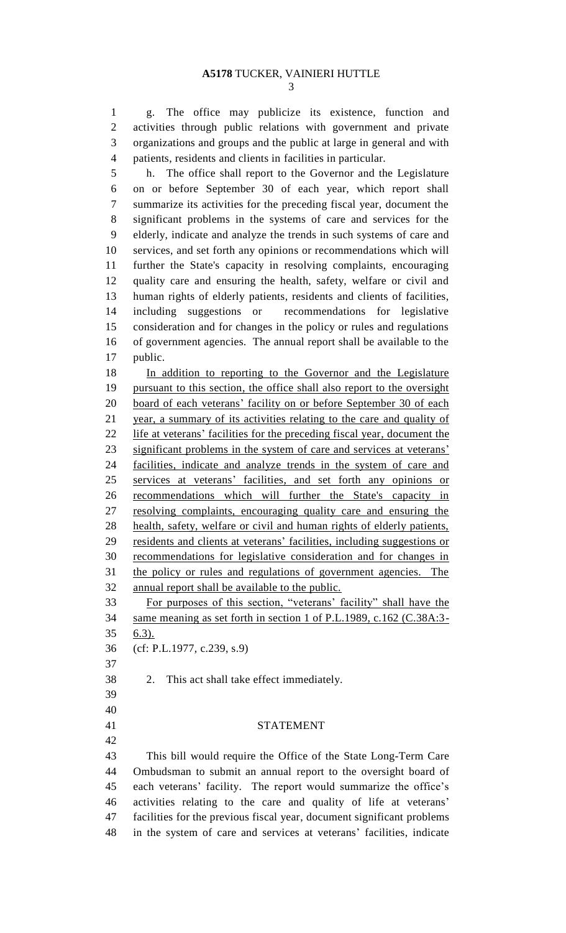g. The office may publicize its existence, function and activities through public relations with government and private organizations and groups and the public at large in general and with patients, residents and clients in facilities in particular.

 h. The office shall report to the Governor and the Legislature on or before September 30 of each year, which report shall summarize its activities for the preceding fiscal year, document the significant problems in the systems of care and services for the elderly, indicate and analyze the trends in such systems of care and services, and set forth any opinions or recommendations which will further the State's capacity in resolving complaints, encouraging quality care and ensuring the health, safety, welfare or civil and human rights of elderly patients, residents and clients of facilities, including suggestions or recommendations for legislative consideration and for changes in the policy or rules and regulations of government agencies. The annual report shall be available to the public.

 In addition to reporting to the Governor and the Legislature pursuant to this section, the office shall also report to the oversight board of each veterans' facility on or before September 30 of each year, a summary of its activities relating to the care and quality of life at veterans' facilities for the preceding fiscal year, document the significant problems in the system of care and services at veterans' facilities, indicate and analyze trends in the system of care and services at veterans' facilities, and set forth any opinions or recommendations which will further the State's capacity in resolving complaints, encouraging quality care and ensuring the health, safety, welfare or civil and human rights of elderly patients, residents and clients at veterans' facilities, including suggestions or recommendations for legislative consideration and for changes in the policy or rules and regulations of government agencies. The annual report shall be available to the public.

## For purposes of this section, "veterans' facility" shall have the same meaning as set forth in section 1 of P.L.1989, c.162 (C.38A:3- 6.3).

- (cf: P.L.1977, c.239, s.9)
- 
- 2. This act shall take effect immediately.
- 
- 
- 

#### STATEMENT

 This bill would require the Office of the State Long-Term Care Ombudsman to submit an annual report to the oversight board of each veterans' facility. The report would summarize the office's activities relating to the care and quality of life at veterans' facilities for the previous fiscal year, document significant problems in the system of care and services at veterans' facilities, indicate